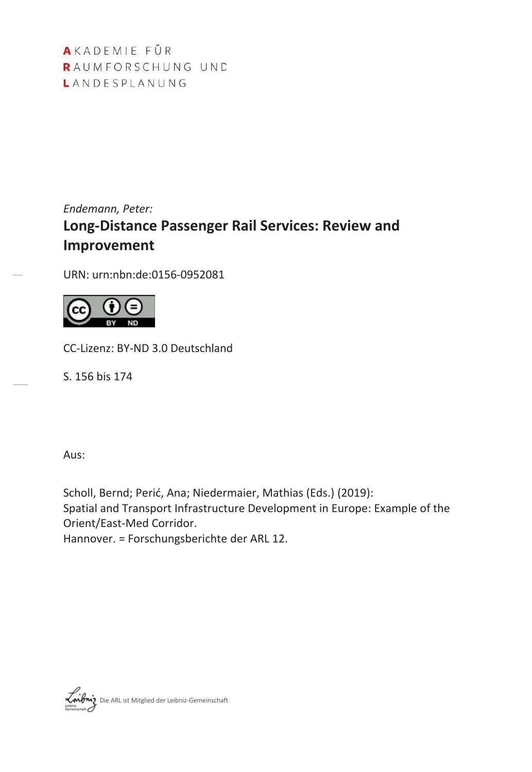AKADEMIE FÜR RAUMFORSCHUNG UND LANDESPLANUNG

*Endemann, Peter:* **Long-Distance Passenger Rail Services: Review and Improvement** 

URN: urn:nbn:de:0156-0952081



CC-Lizenz: BY-ND 3.0 Deutschland

S. 156 bis 174

Aus:

Scholl, Bernd; Perić, Ana; Niedermaier, Mathias (Eds.) (2019): Spatial and Transport Infrastructure Development in Europe: Example of the Orient/East-Med Corridor.

Hannover. = Forschungsberichte der ARL 12.

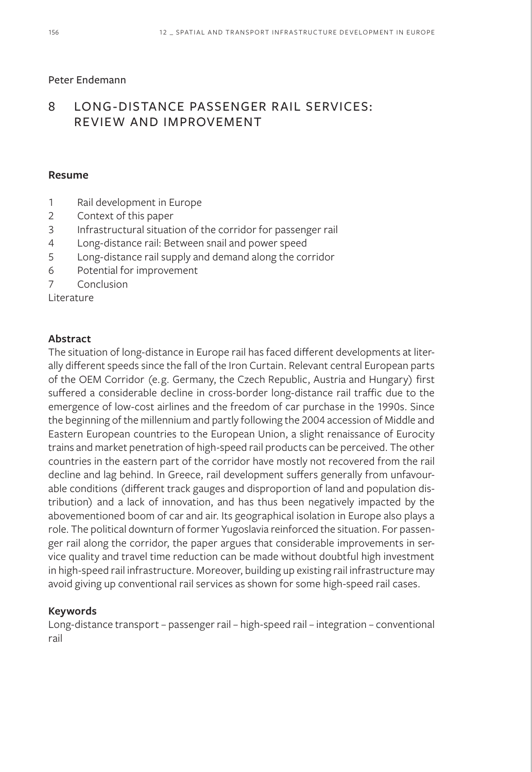### Peter Endemann

# 8 LONG-DISTANCE PASSENGER RAIL SERVICES: REVIEW AND IMPROVEMENT

#### **Resume**

- 1 Rail development in Europe
- 2 Context of this paper
- 3 Infrastructural situation of the corridor for passenger rail
- 4 Long-distance rail: Between snail and power speed
- 5 Long-distance rail supply and demand along the corridor
- 6 Potential for improvement
- 7 Conclusion

Literature

### **Abstract**

The situation of long-distance in Europe rail has faced different developments at literally different speeds since the fall of the Iron Curtain. Relevant central European parts of the OEM Corridor (e.g. Germany, the Czech Republic, Austria and Hungary) first suffered a considerable decline in cross-border long-distance rail traffic due to the emergence of low-cost airlines and the freedom of car purchase in the 1990s. Since the beginning of the millennium and partly following the 2004 accession of Middle and Eastern European countries to the European Union, a slight renaissance of Eurocity trains and market penetration of high-speed rail products can be perceived. The other countries in the eastern part of the corridor have mostly not recovered from the rail decline and lag behind. In Greece, rail development suffers generally from unfavourable conditions (different track gauges and disproportion of land and population distribution) and a lack of innovation, and has thus been negatively impacted by the abovementioned boom of car and air. Its geographical isolation in Europe also plays a role. The political downturn of former Yugoslavia reinforced the situation. For passenger rail along the corridor, the paper argues that considerable improvements in service quality and travel time reduction can be made without doubtful high investment in high-speed rail infrastructure. Moreover, building up existing rail infrastructure may avoid giving up conventional rail services as shown for some high-speed rail cases.

### **Keywords**

Long-distance transport – passenger rail – high-speed rail – integration – conventional rail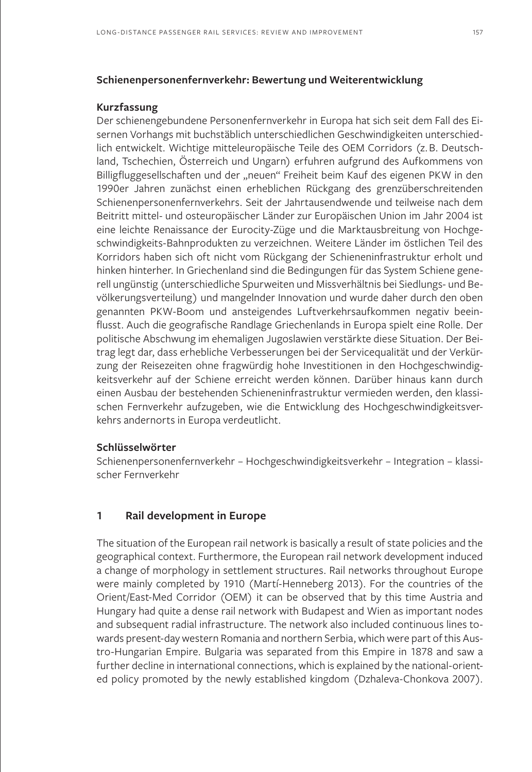### **Schienenpersonenfernverkehr: Bewertung und Weiterentwicklung**

### **Kurzfassung**

Der schienengebundene Personenfernverkehr in Europa hat sich seit dem Fall des Eisernen Vorhangs mit buchstäblich unterschiedlichen Geschwindigkeiten unterschiedlich entwickelt. Wichtige mitteleuropäische Teile des OEM Corridors (z.B. Deutschland, Tschechien, Österreich und Ungarn) erfuhren aufgrund des Aufkommens von Billigfluggesellschaften und der "neuen" Freiheit beim Kauf des eigenen PKW in den 1990er Jahren zunächst einen erheblichen Rückgang des grenzüberschreitenden Schienenpersonenfernverkehrs. Seit der Jahrtausendwende und teilweise nach dem Beitritt mittel- und osteuropäischer Länder zur Europäischen Union im Jahr 2004 ist eine leichte Renaissance der Eurocity-Züge und die Marktausbreitung von Hochgeschwindigkeits-Bahnprodukten zu verzeichnen. Weitere Länder im östlichen Teil des Korridors haben sich oft nicht vom Rückgang der Schieneninfrastruktur erholt und hinken hinterher. In Griechenland sind die Bedingungen für das System Schiene generell ungünstig (unterschiedliche Spurweiten und Missverhältnis bei Siedlungs- und Bevölkerungsverteilung) und mangelnder Innovation und wurde daher durch den oben genannten PKW-Boom und ansteigendes Luftverkehrsaufkommen negativ beeinflusst. Auch die geografische Randlage Griechenlands in Europa spielt eine Rolle. Der politische Abschwung im ehemaligen Jugoslawien verstärkte diese Situation. Der Beitrag legt dar, dass erhebliche Verbesserungen bei der Servicequalität und der Verkürzung der Reisezeiten ohne fragwürdig hohe Investitionen in den Hochgeschwindigkeitsverkehr auf der Schiene erreicht werden können. Darüber hinaus kann durch einen Ausbau der bestehenden Schieneninfrastruktur vermieden werden, den klassischen Fernverkehr aufzugeben, wie die Entwicklung des Hochgeschwindigkeitsverkehrs andernorts in Europa verdeutlicht.

#### **Schlüsselwörter**

Schienenpersonenfernverkehr – Hochgeschwindigkeitsverkehr – Integration – klassischer Fernverkehr

### **1 Rail development in Europe**

The situation of the European rail network is basically a result of state policies and the geographical context. Furthermore, the European rail network development induced a change of morphology in settlement structures. Rail networks throughout Europe were mainly completed by 1910 (Martí-Henneberg 2013). For the countries of the Orient/East-Med Corridor (OEM) it can be observed that by this time Austria and Hungary had quite a dense rail network with Budapest and Wien as important nodes and subsequent radial infrastructure. The network also included continuous lines towards present-day western Romania and northern Serbia, which were part of this Austro-Hungarian Empire. Bulgaria was separated from this Empire in 1878 and saw a further decline in international connections, which is explained by the national-oriented policy promoted by the newly established kingdom (Dzhaleva-Chonkova 2007).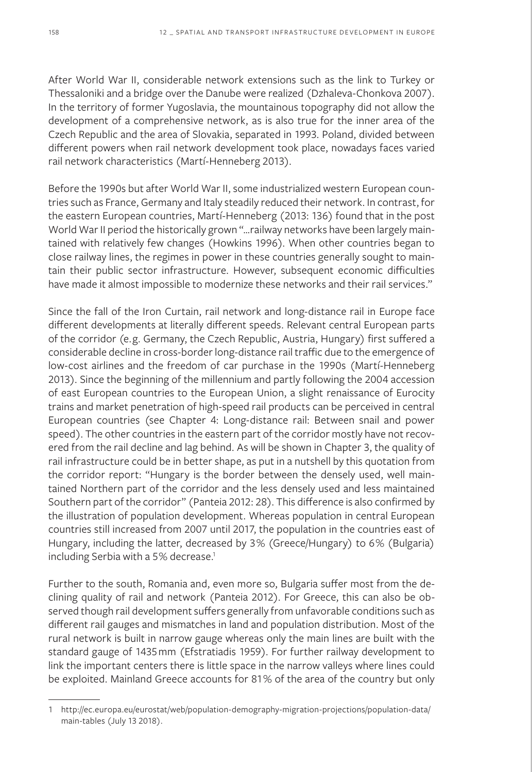After World War II, considerable network extensions such as the link to Turkey or Thessaloniki and a bridge over the Danube were realized (Dzhaleva-Chonkova 2007). In the territory of former Yugoslavia, the mountainous topography did not allow the development of a comprehensive network, as is also true for the inner area of the Czech Republic and the area of Slovakia, separated in 1993. Poland, divided between different powers when rail network development took place, nowadays faces varied rail network characteristics (Martí-Henneberg 2013).

Before the 1990s but after World War II, some industrialized western European countries such as France, Germany and Italy steadily reduced their network. In contrast, for the eastern European countries, Martí-Henneberg (2013: 136) found that in the post World War II period the historically grown "…railway networks have been largely maintained with relatively few changes (Howkins 1996). When other countries began to close railway lines, the regimes in power in these countries generally sought to maintain their public sector infrastructure. However, subsequent economic difficulties have made it almost impossible to modernize these networks and their rail services."

Since the fall of the Iron Curtain, rail network and long-distance rail in Europe face different developments at literally different speeds. Relevant central European parts of the corridor (e.g. Germany, the Czech Republic, Austria, Hungary) first suffered a considerable decline in cross-border long-distance rail traffic due to the emergence of low-cost airlines and the freedom of car purchase in the 1990s (Martí-Henneberg 2013). Since the beginning of the millennium and partly following the 2004 accession of east European countries to the European Union, a slight renaissance of Eurocity trains and market penetration of high-speed rail products can be perceived in central European countries (see Chapter 4: Long-distance rail: Between snail and power speed). The other countries in the eastern part of the corridor mostly have not recovered from the rail decline and lag behind. As will be shown in Chapter 3, the quality of rail infrastructure could be in better shape, as put in a nutshell by this quotation from the corridor report: "Hungary is the border between the densely used, well maintained Northern part of the corridor and the less densely used and less maintained Southern part of the corridor" (Panteia 2012: 28). This difference is also confirmed by the illustration of population development. Whereas population in central European countries still increased from 2007 until 2017, the population in the countries east of Hungary, including the latter, decreased by 3% (Greece/Hungary) to 6% (Bulgaria) including Serbia with a 5% decrease.<sup>1</sup>

Further to the south, Romania and, even more so, Bulgaria suffer most from the declining quality of rail and network (Panteia 2012). For Greece, this can also be observed though rail development suffers generally from unfavorable conditions such as different rail gauges and mismatches in land and population distribution. Most of the rural network is built in narrow gauge whereas only the main lines are built with the standard gauge of 1435mm (Efstratiadis 1959). For further railway development to link the important centers there is little space in the narrow valleys where lines could be exploited. Mainland Greece accounts for 81% of the area of the country but only

<sup>1</sup> http://ec.europa.eu/eurostat/web/population-demography-migration-projections/population-data/ main-tables (July 13 2018).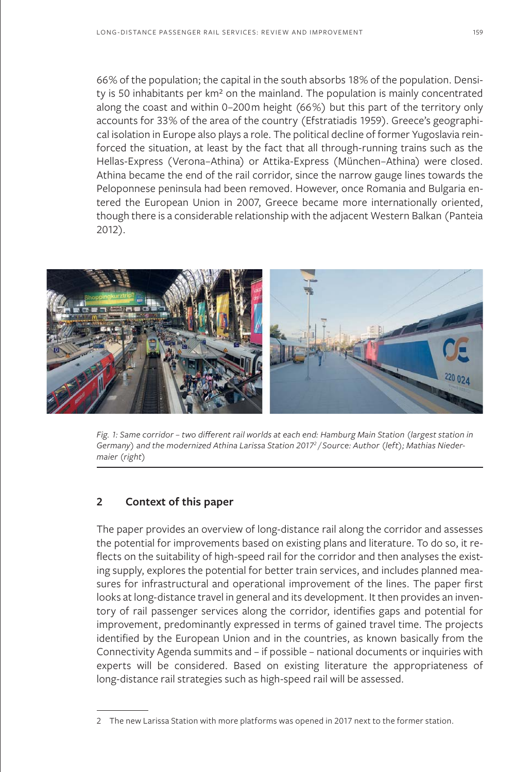66% of the population; the capital in the south absorbs 18% of the population. Density is 50 inhabitants per km<sup>2</sup> on the mainland. The population is mainly concentrated along the coast and within 0–200m height (66%) but this part of the territory only accounts for 33% of the area of the country (Efstratiadis 1959). Greece's geographical isolation in Europe also plays a role. The political decline of former Yugoslavia reinforced the situation, at least by the fact that all through-running trains such as the Hellas-Express (Verona–Athina) or Attika-Express (München–Athina) were closed. Athina became the end of the rail corridor, since the narrow gauge lines towards the Peloponnese peninsula had been removed. However, once Romania and Bulgaria entered the European Union in 2007, Greece became more internationally oriented, though there is a considerable relationship with the adjacent Western Balkan (Panteia 2012).



*Fig. 1: Same corridor – two different rail worlds at each end: Hamburg Main Station (largest station in Germany) and the modernized Athina Larissa Station 20172 / Source: Author (left); Mathias Niedermaier (right)*

## **2 Context of this paper**

The paper provides an overview of long-distance rail along the corridor and assesses the potential for improvements based on existing plans and literature. To do so, it reflects on the suitability of high-speed rail for the corridor and then analyses the existing supply, explores the potential for better train services, and includes planned measures for infrastructural and operational improvement of the lines. The paper first looks at long-distance travel in general and its development. It then provides an inventory of rail passenger services along the corridor, identifies gaps and potential for improvement, predominantly expressed in terms of gained travel time. The projects identified by the European Union and in the countries, as known basically from the Connectivity Agenda summits and – if possible – national documents or inquiries with experts will be considered. Based on existing literature the appropriateness of long-distance rail strategies such as high-speed rail will be assessed.

<sup>2</sup> The new Larissa Station with more platforms was opened in 2017 next to the former station.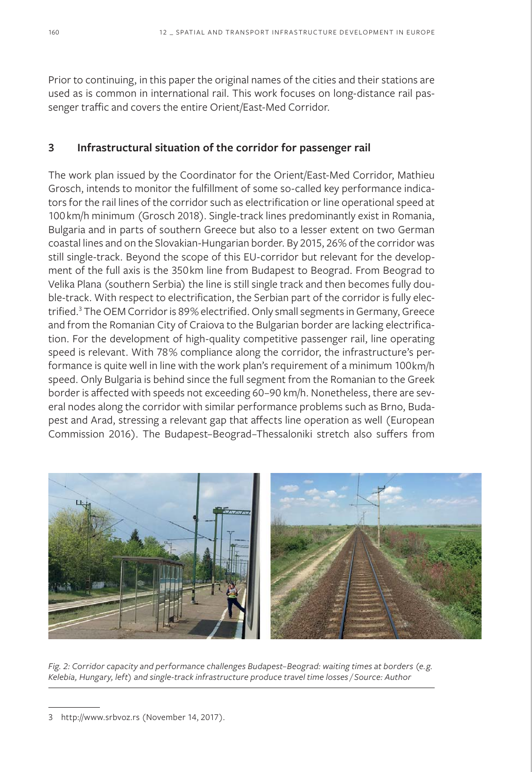Prior to continuing, in this paper the original names of the cities and their stations are used as is common in international rail. This work focuses on long-distance rail passenger traffic and covers the entire Orient/East-Med Corridor.

## **3 Infrastructural situation of the corridor for passenger rail**

The work plan issued by the Coordinator for the Orient/East-Med Corridor, Mathieu Grosch, intends to monitor the fulfillment of some so-called key performance indicators for the rail lines of the corridor such as electrification or line operational speed at 100 km/h minimum (Grosch 2018). Single-track lines predominantly exist in Romania, Bulgaria and in parts of southern Greece but also to a lesser extent on two German coastal lines and on the Slovakian-Hungarian border. By 2015, 26% of the corridor was still single-track. Beyond the scope of this EU-corridor but relevant for the development of the full axis is the 350km line from Budapest to Beograd. From Beograd to Velika Plana (southern Serbia) the line is still single track and then becomes fully double-track. With respect to electrification, the Serbian part of the corridor is fully electrified.3 The OEM Corridor is 89% electrified. Only small segments in Germany, Greece and from the Romanian City of Craiova to the Bulgarian border are lacking electrification. For the development of high-quality competitive passenger rail, line operating speed is relevant. With 78% compliance along the corridor, the infrastructure's performance is quite well in line with the work plan's requirement of a minimum 100km/h speed. Only Bulgaria is behind since the full segment from the Romanian to the Greek border is affected with speeds not exceeding 60–90 km/h. Nonetheless, there are several nodes along the corridor with similar performance problems such as Brno, Budapest and Arad, stressing a relevant gap that affects line operation as well (European Commission 2016). The Budapest–Beograd–Thessaloniki stretch also suffers from



*Fig. 2: Corridor capacity and performance challenges Budapest–Beograd: waiting times at borders (e.g. Kelebia, Hungary, left) and single-track infrastructure produce travel time losses / Source: Author*

<sup>3</sup> http://www.srbvoz.rs (November 14, 2017).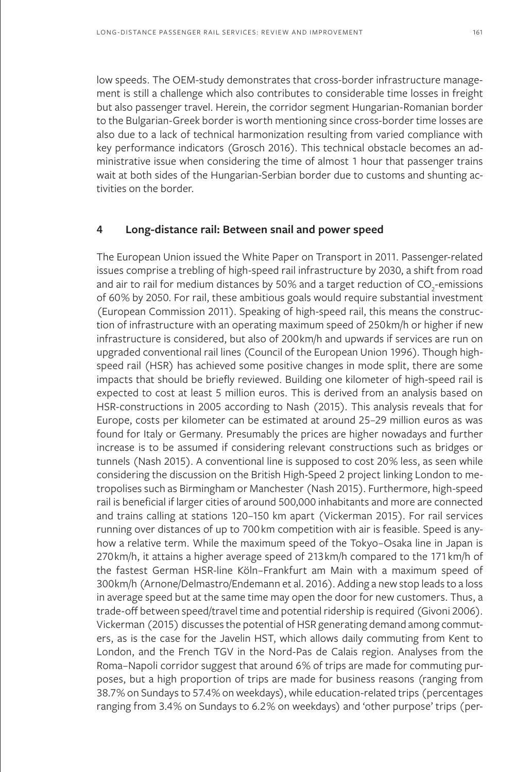low speeds. The OEM-study demonstrates that cross-border infrastructure management is still a challenge which also contributes to considerable time losses in freight but also passenger travel. Herein, the corridor segment Hungarian-Romanian border to the Bulgarian-Greek border is worth mentioning since cross-border time losses are also due to a lack of technical harmonization resulting from varied compliance with key performance indicators (Grosch 2016). This technical obstacle becomes an administrative issue when considering the time of almost 1 hour that passenger trains wait at both sides of the Hungarian-Serbian border due to customs and shunting activities on the border.

### **4 Long-distance rail: Between snail and power speed**

The European Union issued the White Paper on Transport in 2011. Passenger-related issues comprise a trebling of high-speed rail infrastructure by 2030, a shift from road and air to rail for medium distances by 50% and a target reduction of CO<sub>2</sub>-emissions of 60% by 2050. For rail, these ambitious goals would require substantial investment (European Commission 2011). Speaking of high-speed rail, this means the construction of infrastructure with an operating maximum speed of 250km/h or higher if new infrastructure is considered, but also of 200km/h and upwards if services are run on upgraded conventional rail lines (Council of the European Union 1996). Though highspeed rail (HSR) has achieved some positive changes in mode split, there are some impacts that should be briefly reviewed. Building one kilometer of high-speed rail is expected to cost at least 5 million euros. This is derived from an analysis based on HSR-constructions in 2005 according to Nash (2015). This analysis reveals that for Europe, costs per kilometer can be estimated at around 25–29 million euros as was found for Italy or Germany. Presumably the prices are higher nowadays and further increase is to be assumed if considering relevant constructions such as bridges or tunnels (Nash 2015). A conventional line is supposed to cost 20% less, as seen while considering the discussion on the British High-Speed 2 project linking London to metropolises such as Birmingham or Manchester (Nash 2015). Furthermore, high-speed rail is beneficial if larger cities of around 500,000 inhabitants and more are connected and trains calling at stations 120–150 km apart (Vickerman 2015). For rail services running over distances of up to 700 km competition with air is feasible. Speed is anyhow a relative term. While the maximum speed of the Tokyo–Osaka line in Japan is 270km/h, it attains a higher average speed of 213km/h compared to the 171km/h of the fastest German HSR-line Köln–Frankfurt am Main with a maximum speed of 300km/h (Arnone/Delmastro/Endemann et al. 2016). Adding a new stop leads to a loss in average speed but at the same time may open the door for new customers. Thus, a trade-off between speed/travel time and potential ridership is required (Givoni 2006). Vickerman (2015) discusses the potential of HSR generating demand among commuters, as is the case for the Javelin HST, which allows daily commuting from Kent to London, and the French TGV in the Nord-Pas de Calais region. Analyses from the Roma–Napoli corridor suggest that around 6% of trips are made for commuting purposes, but a high proportion of trips are made for business reasons (ranging from 38.7% on Sundays to 57.4% on weekdays), while education-related trips (percentages ranging from 3.4% on Sundays to 6.2% on weekdays) and 'other purpose' trips (per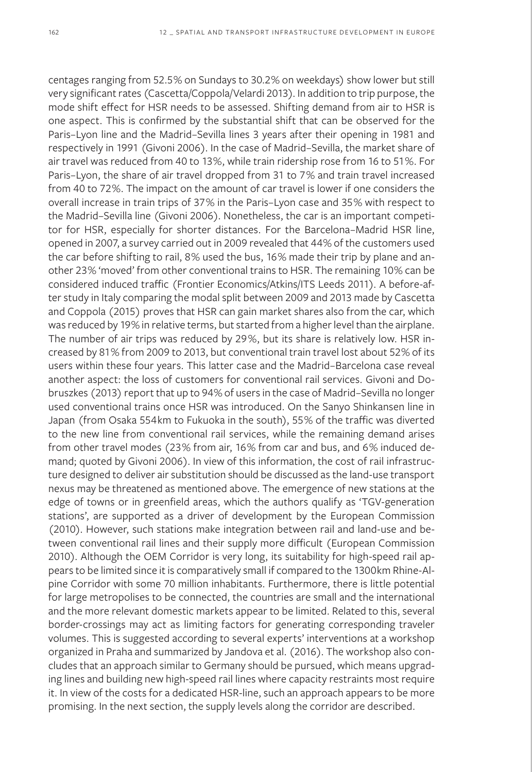centages ranging from 52.5% on Sundays to 30.2% on weekdays) show lower but still very significant rates (Cascetta/Coppola/Velardi 2013). In addition to trip purpose, the mode shift effect for HSR needs to be assessed. Shifting demand from air to HSR is one aspect. This is confirmed by the substantial shift that can be observed for the Paris–Lyon line and the Madrid–Sevilla lines 3 years after their opening in 1981 and respectively in 1991 (Givoni 2006). In the case of Madrid–Sevilla, the market share of air travel was reduced from 40 to 13%, while train ridership rose from 16 to 51%. For Paris–Lyon, the share of air travel dropped from 31 to 7% and train travel increased from 40 to 72%. The impact on the amount of car travel is lower if one considers the overall increase in train trips of 37% in the Paris–Lyon case and 35% with respect to the Madrid–Sevilla line (Givoni 2006). Nonetheless, the car is an important competitor for HSR, especially for shorter distances. For the Barcelona–Madrid HSR line, opened in 2007, a survey carried out in 2009 revealed that 44% of the customers used the car before shifting to rail, 8% used the bus, 16% made their trip by plane and another 23% 'moved' from other conventional trains to HSR. The remaining 10% can be considered induced traffic (Frontier Economics/Atkins/ITS Leeds 2011). A before-after study in Italy comparing the modal split between 2009 and 2013 made by Cascetta and Coppola (2015) proves that HSR can gain market shares also from the car, which was reduced by 19% in relative terms, but started from a higher level than the airplane. The number of air trips was reduced by 29%, but its share is relatively low. HSR increased by 81% from 2009 to 2013, but conventional train travel lost about 52% of its users within these four years. This latter case and the Madrid–Barcelona case reveal another aspect: the loss of customers for conventional rail services. Givoni and Dobruszkes (2013) report that up to 94% of users in the case of Madrid–Sevilla no longer used conventional trains once HSR was introduced. On the Sanyo Shinkansen line in Japan (from Osaka 554km to Fukuoka in the south), 55% of the traffic was diverted to the new line from conventional rail services, while the remaining demand arises from other travel modes (23% from air, 16% from car and bus, and 6% induced demand; quoted by Givoni 2006). In view of this information, the cost of rail infrastructure designed to deliver air substitution should be discussed as the land-use transport nexus may be threatened as mentioned above. The emergence of new stations at the edge of towns or in greenfield areas, which the authors qualify as 'TGV-generation stations', are supported as a driver of development by the European Commission (2010). However, such stations make integration between rail and land-use and between conventional rail lines and their supply more difficult (European Commission 2010). Although the OEM Corridor is very long, its suitability for high-speed rail appears to be limited since it is comparatively small if compared to the 1300km Rhine-Alpine Corridor with some 70 million inhabitants. Furthermore, there is little potential for large metropolises to be connected, the countries are small and the international and the more relevant domestic markets appear to be limited. Related to this, several border-crossings may act as limiting factors for generating corresponding traveler volumes. This is suggested according to several experts' interventions at a workshop organized in Praha and summarized by Jandova et al. (2016). The workshop also concludes that an approach similar to Germany should be pursued, which means upgrading lines and building new high-speed rail lines where capacity restraints most require it. In view of the costs for a dedicated HSR-line, such an approach appears to be more promising. In the next section, the supply levels along the corridor are described.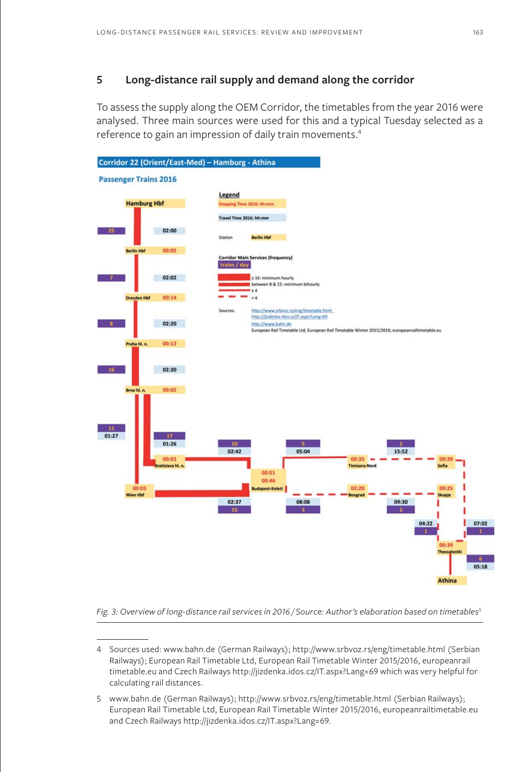## **5 Long-distance rail supply and demand along the corridor**

To assess the supply along the OEM Corridor, the timetables from the year 2016 were analysed. Three main sources were used for this and a typical Tuesday selected as a reference to gain an impression of daily train movements.<sup>4</sup>



Fig. 3: Overview of long-distance rail services in 2016 / Source: Author's elaboration based on timetables<sup>5</sup>

<sup>4</sup> Sources used: www.bahn.de (German Railways); http://www.srbvoz.rs/eng/timetable.html (Serbian Railways); European Rail Timetable Ltd, European Rail Timetable Winter 2015/2016, europeanrail timetable.eu and Czech Railways http://jizdenka.idos.cz/IT.aspx?Lang=69 which was very helpful for calculating rail distances.

<sup>5</sup> www.bahn.de (German Railways); http://www.srbvoz.rs/eng/timetable.html (Serbian Railways); European Rail Timetable Ltd, European Rail Timetable Winter 2015/2016, europeanrailtimetable.eu and Czech Railways http://jizdenka.idos.cz/IT.aspx?Lang=69.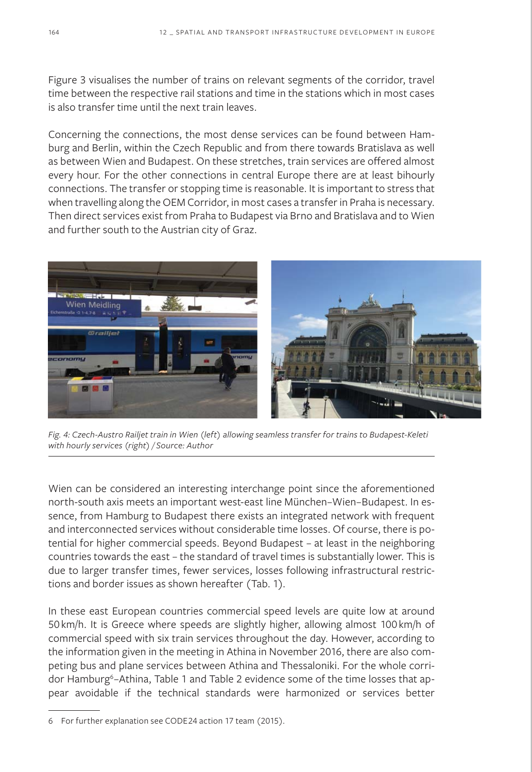Figure 3 visualises the number of trains on relevant segments of the corridor, travel time between the respective rail stations and time in the stations which in most cases is also transfer time until the next train leaves.

Concerning the connections, the most dense services can be found between Hamburg and Berlin, within the Czech Republic and from there towards Bratislava as well as between Wien and Budapest. On these stretches, train services are offered almost every hour. For the other connections in central Europe there are at least bihourly connections. The transfer or stopping time is reasonable. It is important to stress that when travelling along the OEM Corridor, in most cases a transfer in Praha is necessary. Then direct services exist from Praha to Budapest via Brno and Bratislava and to Wien and further south to the Austrian city of Graz.



*Fig. 4: Czech-Austro Railjet train in Wien (left) allowing seamless transfer for trains to Budapest-Keleti with hourly services (right) / Source: Author*

Wien can be considered an interesting interchange point since the aforementioned north-south axis meets an important west-east line München–Wien–Budapest. In essence, from Hamburg to Budapest there exists an integrated network with frequent and interconnected services without considerable time losses. Of course, there is potential for higher commercial speeds. Beyond Budapest – at least in the neighboring countries towards the east – the standard of travel times is substantially lower. This is due to larger transfer times, fewer services, losses following infrastructural restrictions and border issues as shown hereafter (Tab. 1).

In these east European countries commercial speed levels are quite low at around 50 km/h. It is Greece where speeds are slightly higher, allowing almost 100 km/h of commercial speed with six train services throughout the day. However, according to the information given in the meeting in Athina in November 2016, there are also competing bus and plane services between Athina and Thessaloniki. For the whole corridor Hamburg<sup>6</sup>-Athina, Table 1 and Table 2 evidence some of the time losses that appear avoidable if the technical standards were harmonized or services better

<sup>6</sup> For further explanation see CODE24 action 17 team (2015).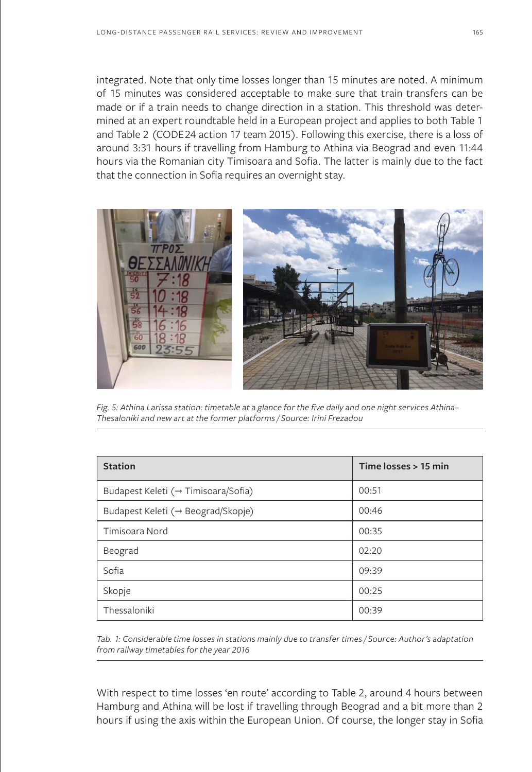integrated. Note that only time losses longer than 15 minutes are noted. A minimum of 15 minutes was considered acceptable to make sure that train transfers can be made or if a train needs to change direction in a station. This threshold was determined at an expert roundtable held in a European project and applies to both Table 1 and Table 2 (CODE24 action 17 team 2015). Following this exercise, there is a loss of around 3:31 hours if travelling from Hamburg to Athina via Beograd and even 11:44 hours via the Romanian city Timisoara and Sofia. The latter is mainly due to the fact that the connection in Sofia requires an overnight stay.



*Fig. 5: Athina Larissa station: timetable at a glance for the five daily and one night services Athina– Thesaloniki and new art at the former platforms / Source: Irini Frezadou*

| <b>Station</b>                      | Time losses > 15 min |  |  |  |
|-------------------------------------|----------------------|--|--|--|
| Budapest Keleti (→ Timisoara/Sofia) | 00:51                |  |  |  |
| Budapest Keleti (→ Beograd/Skopje)  | 00:46                |  |  |  |
| Timisoara Nord                      | 00:35                |  |  |  |
| Beograd                             | 02:20                |  |  |  |
| Sofia                               | 09:39                |  |  |  |
| Skopje                              | 00:25                |  |  |  |
| Thessaloniki                        | 00:39                |  |  |  |

*Tab. 1: Considerable time losses in stations mainly due to transfer times / Source: Author's adaptation from railway timetables for the year 2016*

With respect to time losses 'en route' according to Table 2, around 4 hours between Hamburg and Athina will be lost if travelling through Beograd and a bit more than 2 hours if using the axis within the European Union. Of course, the longer stay in Sofia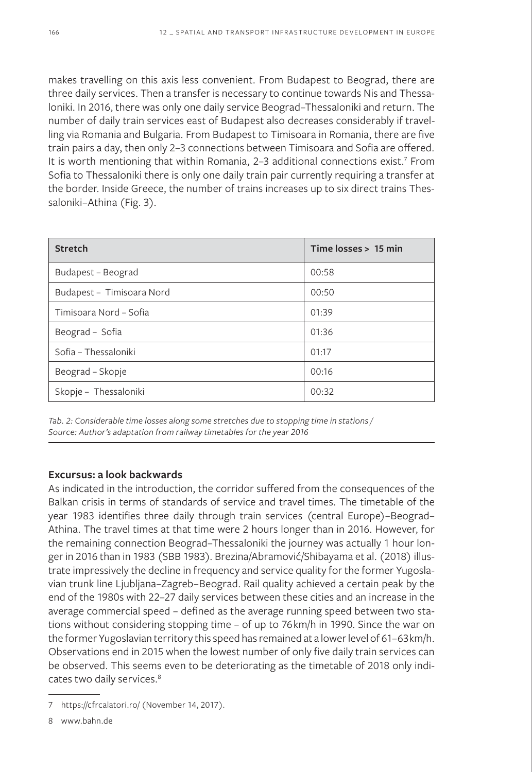makes travelling on this axis less convenient. From Budapest to Beograd, there are three daily services. Then a transfer is necessary to continue towards Nis and Thessaloniki. In 2016, there was only one daily service Beograd–Thessaloniki and return. The number of daily train services east of Budapest also decreases considerably if travelling via Romania and Bulgaria. From Budapest to Timisoara in Romania, there are five train pairs a day, then only 2–3 connections between Timisoara and Sofia are offered. It is worth mentioning that within Romania, 2-3 additional connections exist.<sup>7</sup> From Sofia to Thessaloniki there is only one daily train pair currently requiring a transfer at the border. Inside Greece, the number of trains increases up to six direct trains Thessaloniki–Athina (Fig. 3).

| <b>Stretch</b>            | Time losses $> 15$ min |  |  |  |
|---------------------------|------------------------|--|--|--|
| Budapest - Beograd        | 00:58                  |  |  |  |
| Budapest - Timisoara Nord | 00:50                  |  |  |  |
| Timisoara Nord - Sofia    | 01:39                  |  |  |  |
| Beograd - Sofia           | 01:36                  |  |  |  |
| Sofia - Thessaloniki      | 01:17                  |  |  |  |
| Beograd - Skopje          | 00:16                  |  |  |  |
| Skopje - Thessaloniki     | 00:32                  |  |  |  |

*Tab. 2: Considerable time losses along some stretches due to stopping time in stations / Source: Author's adaptation from railway timetables for the year 2016*

### **Excursus: a look backwards**

As indicated in the introduction, the corridor suffered from the consequences of the Balkan crisis in terms of standards of service and travel times. The timetable of the year 1983 identifies three daily through train services (central Europe)–Beograd– Athina. The travel times at that time were 2 hours longer than in 2016. However, for the remaining connection Beograd–Thessaloniki the journey was actually 1 hour longer in 2016 than in 1983 (SBB 1983). Brezina/Abramović/Shibayama et al. (2018) illustrate impressively the decline in frequency and service quality for the former Yugoslavian trunk line Ljubljana–Zagreb–Beograd. Rail quality achieved a certain peak by the end of the 1980s with 22–27 daily services between these cities and an increase in the average commercial speed – defined as the average running speed between two stations without considering stopping time – of up to 76km/h in 1990. Since the war on the former Yugoslavian territory this speed has remained at a lower level of 61–63km/h. Observations end in 2015 when the lowest number of only five daily train services can be observed. This seems even to be deteriorating as the timetable of 2018 only indicates two daily services.8

<sup>7</sup> https://cfrcalatori.ro/ (November 14, 2017).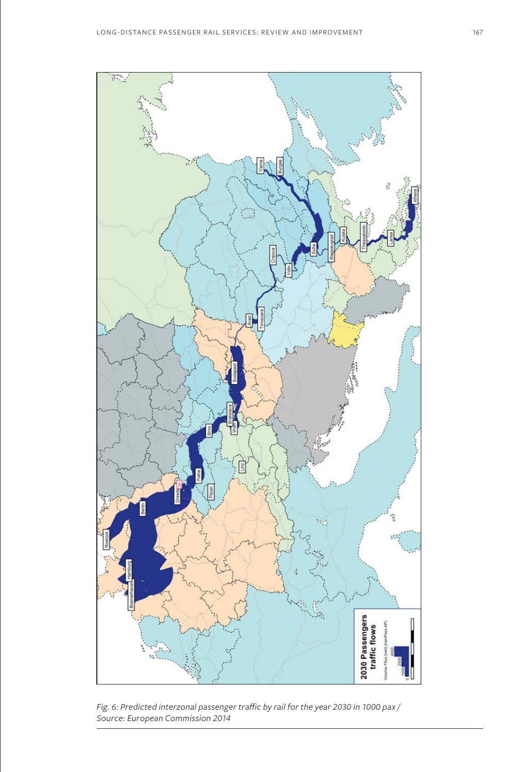

*Fig. 6: Predicted interzonal passenger traffic by rail for the year 2030 in 1000 pax / Source: European Commission 2014*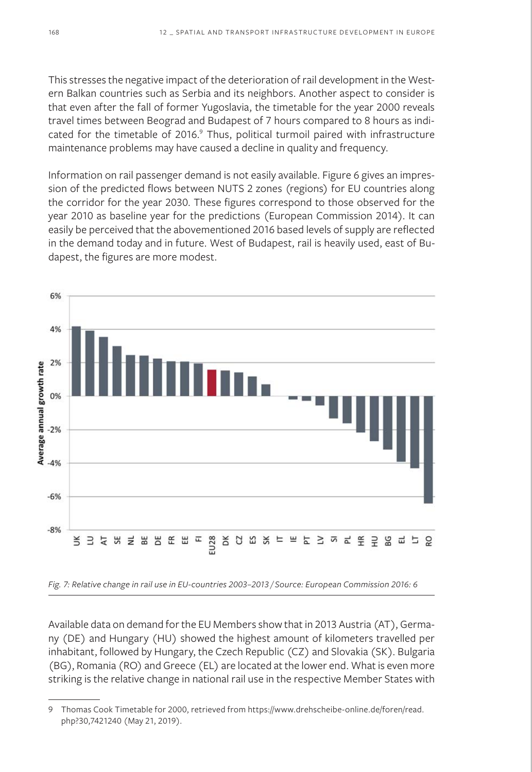This stresses the negative impact of the deterioration of rail development in the Western Balkan countries such as Serbia and its neighbors. Another aspect to consider is that even after the fall of former Yugoslavia, the timetable for the year 2000 reveals travel times between Beograd and Budapest of 7 hours compared to 8 hours as indicated for the timetable of 2016.<sup>9</sup> Thus, political turmoil paired with infrastructure maintenance problems may have caused a decline in quality and frequency.

Information on rail passenger demand is not easily available. Figure 6 gives an impression of the predicted flows between NUTS 2 zones (regions) for EU countries along the corridor for the year 2030. These figures correspond to those observed for the year 2010 as baseline year for the predictions (European Commission 2014). It can easily be perceived that the abovementioned 2016 based levels of supply are reflected in the demand today and in future. West of Budapest, rail is heavily used, east of Budapest, the figures are more modest.



*Fig. 7: Relative change in rail use in EU-countries 2003–2013 / Source: European Commission 2016: 6*

Available data on demand for the EU Members show that in 2013 Austria (AT), Germany (DE) and Hungary (HU) showed the highest amount of kilometers travelled per inhabitant, followed by Hungary, the Czech Republic (CZ) and Slovakia (SK). Bulgaria (BG), Romania (RO) and Greece (EL) are located at the lower end. What is even more striking is the relative change in national rail use in the respective Member States with

<sup>9</sup> Thomas Cook Timetable for 2000, retrieved from https://www.drehscheibe-online.de/foren/read. php?30,7421240 (May 21, 2019).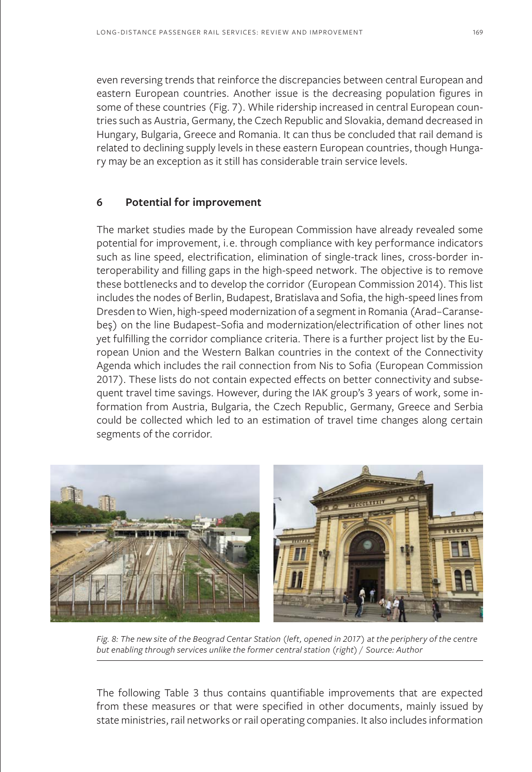even reversing trends that reinforce the discrepancies between central European and eastern European countries. Another issue is the decreasing population figures in some of these countries (Fig. 7). While ridership increased in central European countries such as Austria, Germany, the Czech Republic and Slovakia, demand decreased in Hungary, Bulgaria, Greece and Romania. It can thus be concluded that rail demand is related to declining supply levels in these eastern European countries, though Hungary may be an exception as it still has considerable train service levels.

### **6 Potential for improvement**

The market studies made by the European Commission have already revealed some potential for improvement, i.e. through compliance with key performance indicators such as line speed, electrification, elimination of single-track lines, cross-border interoperability and filling gaps in the high-speed network. The objective is to remove these bottlenecks and to develop the corridor (European Commission 2014). This list includes the nodes of Berlin, Budapest, Bratislava and Sofia, the high-speed lines from Dresden to Wien, high-speed modernization of a segment in Romania (Arad–Caransebeş) on the line Budapest–Sofia and modernization/electrification of other lines not yet fulfilling the corridor compliance criteria. There is a further project list by the European Union and the Western Balkan countries in the context of the Connectivity Agenda which includes the rail connection from Nis to Sofia (European Commission 2017). These lists do not contain expected effects on better connectivity and subsequent travel time savings. However, during the IAK group's 3 years of work, some information from Austria, Bulgaria, the Czech Republic, Germany, Greece and Serbia could be collected which led to an estimation of travel time changes along certain segments of the corridor.



*Fig. 8: The new site of the Beograd Centar Station (left, opened in 2017) at the periphery of the centre but enabling through services unlike the former central station (right) / Source: Author*

The following Table 3 thus contains quantifiable improvements that are expected from these measures or that were specified in other documents, mainly issued by state ministries, rail networks or rail operating companies. It also includes information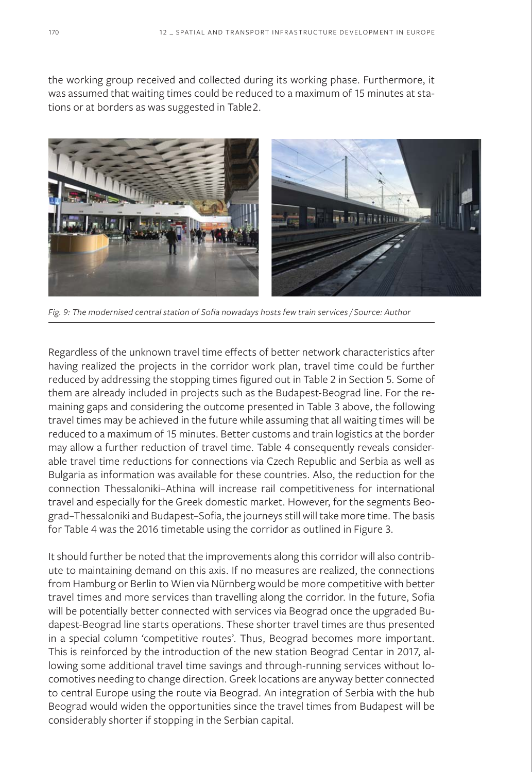the working group received and collected during its working phase. Furthermore, it was assumed that waiting times could be reduced to a maximum of 15 minutes at stations or at borders as was suggested in Table2.



*Fig. 9: The modernised central station of Sofia nowadays hosts few train services / Source: Author*

Regardless of the unknown travel time effects of better network characteristics after having realized the projects in the corridor work plan, travel time could be further reduced by addressing the stopping times figured out in Table 2 in Section 5. Some of them are already included in projects such as the Budapest-Beograd line. For the remaining gaps and considering the outcome presented in Table 3 above, the following travel times may be achieved in the future while assuming that all waiting times will be reduced to a maximum of 15 minutes. Better customs and train logistics at the border may allow a further reduction of travel time. Table 4 consequently reveals considerable travel time reductions for connections via Czech Republic and Serbia as well as Bulgaria as information was available for these countries. Also, the reduction for the connection Thessaloniki–Athina will increase rail competitiveness for international travel and especially for the Greek domestic market. However, for the segments Beograd–Thessaloniki and Budapest–Sofia, the journeys still will take more time. The basis for Table 4 was the 2016 timetable using the corridor as outlined in Figure 3.

It should further be noted that the improvements along this corridor will also contribute to maintaining demand on this axis. If no measures are realized, the connections from Hamburg or Berlin to Wien via Nürnberg would be more competitive with better travel times and more services than travelling along the corridor. In the future, Sofia will be potentially better connected with services via Beograd once the upgraded Budapest-Beograd line starts operations. These shorter travel times are thus presented in a special column 'competitive routes'. Thus, Beograd becomes more important. This is reinforced by the introduction of the new station Beograd Centar in 2017, allowing some additional travel time savings and through-running services without locomotives needing to change direction. Greek locations are anyway better connected to central Europe using the route via Beograd. An integration of Serbia with the hub Beograd would widen the opportunities since the travel times from Budapest will be considerably shorter if stopping in the Serbian capital.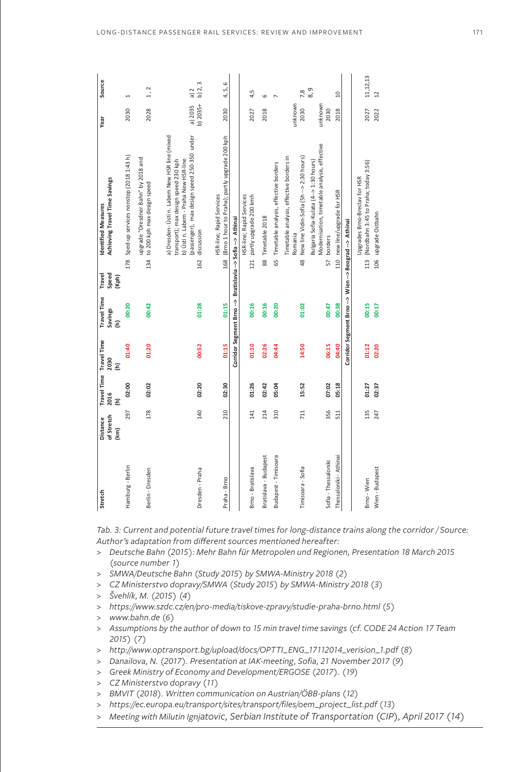| Source                                                                       |                                                                                             | $\overline{\phantom{0}}$                   | 1, 2                                                                      | b) 2, 3<br>a) 2                                                                                                                                                                                                                                                                                                                                                                                                                                                                                                                                                                                                                                                                                                                       | 4, 5, 6                                                                           |                                                             | 4,5                                                              | G                     |                                          | 7,8                                                                                                | 8,9                                                                                                 | $\Omega$                     |                                                        | 11, 12, 13                                                                | $\overline{1}$                                                                                                                                                                                                                                                                                   |
|------------------------------------------------------------------------------|---------------------------------------------------------------------------------------------|--------------------------------------------|---------------------------------------------------------------------------|---------------------------------------------------------------------------------------------------------------------------------------------------------------------------------------------------------------------------------------------------------------------------------------------------------------------------------------------------------------------------------------------------------------------------------------------------------------------------------------------------------------------------------------------------------------------------------------------------------------------------------------------------------------------------------------------------------------------------------------|-----------------------------------------------------------------------------------|-------------------------------------------------------------|------------------------------------------------------------------|-----------------------|------------------------------------------|----------------------------------------------------------------------------------------------------|-----------------------------------------------------------------------------------------------------|------------------------------|--------------------------------------------------------|---------------------------------------------------------------------------|--------------------------------------------------------------------------------------------------------------------------------------------------------------------------------------------------------------------------------------------------------------------------------------------------|
| Year                                                                         |                                                                                             | 2030                                       | 2028                                                                      | $b)$ 2035+<br>a) 2035                                                                                                                                                                                                                                                                                                                                                                                                                                                                                                                                                                                                                                                                                                                 | 2030                                                                              |                                                             | 2027                                                             | 2018                  |                                          | unknown<br>2030                                                                                    | unknown<br>2030                                                                                     | 2018                         |                                                        | 2027                                                                      | 2022                                                                                                                                                                                                                                                                                             |
| <b>Identified Measures</b>                                                   | Achieving Travel Time Savings                                                               | 178 Sped-up services nonstop (2018 1:43 h) | upgrade "Dresdner Bahn" by 2018 and<br>to 200 kph max design speed<br>134 | a) Dresden- Ústí n. Labem New HSR line (mixed<br>(passenger), max design speed 250-350 under<br>b) Ústí n. Labem - Praha New HSR-line<br>transport); max design speed 230 kph<br>discussion<br>162                                                                                                                                                                                                                                                                                                                                                                                                                                                                                                                                    | (Brno 1 hour to Praha); partly upgrade 200 kph<br>HSR-line; Rapid Services<br>168 | Corridor Segment Brno --> Bratislavia --> Sofia --> Athinai | <b>HSR-line; Rapid Services</b><br>partly upgrade 200 kmh<br>121 | 88 Timetable 2018     | 65 Timetable analysis, effective borders | Timetable analysis, effective borders in<br>48 New line Vidin-Sofia (5h --> 2:30 hours)<br>Romania | Modernisation, timetable analysis, effective<br>Bulgaria Sofia-Kulata (4->1:30 hours)<br>57 borders | 110 new line/upgrade for HSR | Corridor Segment Brno --> Wien --> Beograd --> Athinai | 113 (Nordbahn 3:45 to Praha; today 3:56)<br>Upgrades Brno-Breclav for HSR | 106 upgrade Ostbahn                                                                                                                                                                                                                                                                              |
| Travel                                                                       | Speed<br>(Kph)                                                                              |                                            |                                                                           |                                                                                                                                                                                                                                                                                                                                                                                                                                                                                                                                                                                                                                                                                                                                       |                                                                                   |                                                             |                                                                  |                       |                                          |                                                                                                    |                                                                                                     |                              |                                                        |                                                                           |                                                                                                                                                                                                                                                                                                  |
| <b>Travel Time</b>                                                           | Savings<br>Ξ                                                                                | 00:20                                      | 00:42                                                                     | 01:28                                                                                                                                                                                                                                                                                                                                                                                                                                                                                                                                                                                                                                                                                                                                 | 01:15                                                                             |                                                             | 00:16                                                            | 00:16                 | 00:20                                    | 01:02                                                                                              | 00:47                                                                                               | 00:38                        |                                                        | 00:15                                                                     | 00:17                                                                                                                                                                                                                                                                                            |
| Travel Time Travel Time                                                      | 2030<br>$\widehat{\epsilon}$                                                                | 01:40                                      | 01:20                                                                     | 00:52                                                                                                                                                                                                                                                                                                                                                                                                                                                                                                                                                                                                                                                                                                                                 | 01:15                                                                             |                                                             | 01:10                                                            | 02:26                 | 04:44                                    | 14:50                                                                                              | 06:15                                                                                               | 04:40                        |                                                        | 01:12                                                                     | 02:20                                                                                                                                                                                                                                                                                            |
|                                                                              | 2016<br>Ξ                                                                                   | 02:00                                      | 02:02                                                                     | 02:20                                                                                                                                                                                                                                                                                                                                                                                                                                                                                                                                                                                                                                                                                                                                 | 02:30                                                                             |                                                             | 01:26                                                            | 02:42                 | 05:04                                    | 15:52                                                                                              | 07:02                                                                                               | 05:18                        |                                                        | 01:27                                                                     | 02:37                                                                                                                                                                                                                                                                                            |
| Distance                                                                     | of Stretch<br>(km)                                                                          | 297                                        | 178                                                                       | 140                                                                                                                                                                                                                                                                                                                                                                                                                                                                                                                                                                                                                                                                                                                                   | 210                                                                               |                                                             | 141                                                              | 214                   | 310                                      | 711                                                                                                | 356                                                                                                 | 511                          |                                                        | 135                                                                       | 247                                                                                                                                                                                                                                                                                              |
| Stretch                                                                      |                                                                                             | Hamburg - Berlin                           | Berlin - Dresden                                                          | Dresden - Praha                                                                                                                                                                                                                                                                                                                                                                                                                                                                                                                                                                                                                                                                                                                       | Praha - Brno                                                                      |                                                             | Brno - Bratislava                                                | Bratislava - Budapest | Budapest - Timisoara                     | Timisoara - Sofia                                                                                  | Sofia - Thessaloniki                                                                                | Thessaloniki - Athinai       |                                                        | Brno-Wien                                                                 | Wien - Budapest                                                                                                                                                                                                                                                                                  |
| $\geq$<br>$\mathbf{I}$<br>><br>><br>><br>$\,>$<br>$\geq$<br>><br>><br>$\geq$ | $2015)$ (7)                                                                                 |                                            | (source number 1)<br>> www.bahn.de (6)                                    | Author's adaptation from different sources mentioned hereafter:<br>SMWA/Deutsche Bahn (Study 2015) by SMWA-Ministry 2018 (2)<br>> CZ Ministerstvo dopravy/SMWA (Study 2015) by SMWA-Ministry 2018 (3)<br>Švehlík, M. (2015) (4)<br>https://www.szdc.cz/en/pro-media/tiskove-zpravy/studie-praha-brno.html (5)<br>http://www.optransport.bg/upload/docs/OPTTI_ENG_17112014_verision_1.pdf (8)<br>Danailova, N. (2017). Presentation at IAK-meeting, Sofia, 21 November 2017 (9)<br>> Greek Ministry of Economy and Development/ERGOSE (2017). (19)<br>CZ Ministerstvo dopravy (11)<br>BMVIT (2018). Written communication on Austrian/ÖBB-plans (12)<br>https://ec.europa.eu/transport/sites/transport/files/oem_project_list.pdf (13) |                                                                                   |                                                             |                                                                  |                       |                                          |                                                                                                    |                                                                                                     |                              |                                                        |                                                                           | Tab. 3: Current and potential future travel times for long-distance trains along the corridor / Source<br>Deutsche Bahn (2015): Mehr Bahn für Metropolen und Regionen, Presentation 18 March 2015<br>Assumptions by the author of down to 15 min travel time savings (cf. CODE 24 Action 17 Team |
| $\geq$                                                                       | Meeting with Milutin Ignjatovic, Serbian Institute of Transportation (CIP), April 2017 (14) |                                            |                                                                           |                                                                                                                                                                                                                                                                                                                                                                                                                                                                                                                                                                                                                                                                                                                                       |                                                                                   |                                                             |                                                                  |                       |                                          |                                                                                                    |                                                                                                     |                              |                                                        |                                                                           |                                                                                                                                                                                                                                                                                                  |

- > *Deutsche Bahn (2015): Mehr Bahn für Metropolen und Regionen, Presentation 18 March 2015 (source number 1)*
- > *SMWA/Deutsche Bahn (Study 2015) by SMWA-Ministry 2018 (2)*
- > *CZ Ministerstvo dopravy/SMWA (Study 2015) by SMWA-Ministry 2018 (3)*
- > *Švehlík, M. (2015) (4)*
- > *https://www.szdc.cz/en/pro-media/tiskove-zpravy/studie-praha-brno.html (5)*
- > *www.bahn.de (6)*
- > *Assumptions by the author of down to 15 min travel time savings (cf. CODE 24 Action 17 Team 2015) (7)*
- > *http://www.optransport.bg/upload/docs/OPTTI\_ENG\_17112014\_verision\_1.pdf (8)*
- > *Danailova, N. (2017). Presentation at IAK-meeting, Sofia, 21 November 2017 (9)*
- > *Greek Ministry of Economy and Development/ERGOSE (2017). (19)*
- > *CZ Ministerstvo dopravy (11)*
- > *BMVIT (2018). Written communication on Austrian/ÖBB-plans (12)*
- > *https://ec.europa.eu/transport/sites/transport/files/oem\_project\_list.pdf (13)*
-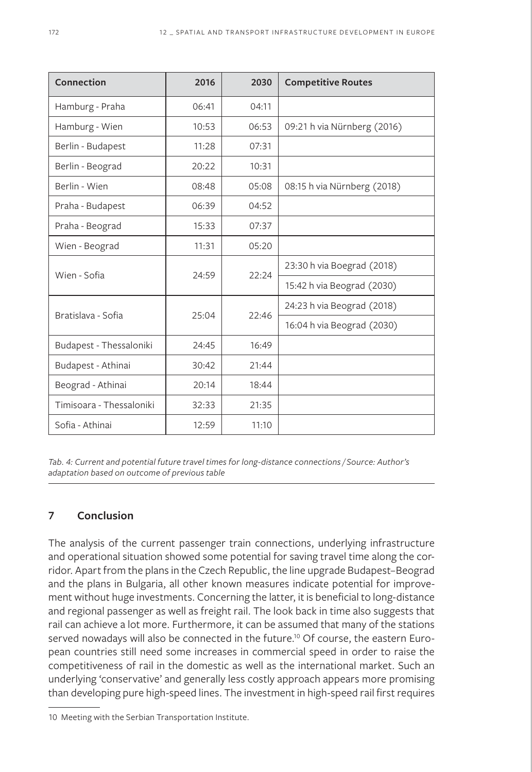| Connection               | 2016  | 2030  | <b>Competitive Routes</b>   |  |  |  |  |
|--------------------------|-------|-------|-----------------------------|--|--|--|--|
| Hamburg - Praha          | 06:41 | 04:11 |                             |  |  |  |  |
| Hamburg - Wien           | 10:53 | 06:53 | 09:21 h via Nürnberg (2016) |  |  |  |  |
| Berlin - Budapest        | 11:28 | 07:31 |                             |  |  |  |  |
| Berlin - Beograd         | 20:22 | 10:31 |                             |  |  |  |  |
| Berlin - Wien            | 08:48 | 05:08 | 08:15 h via Nürnberg (2018) |  |  |  |  |
| Praha - Budapest         | 06:39 | 04:52 |                             |  |  |  |  |
| Praha - Beograd          | 15:33 | 07:37 |                             |  |  |  |  |
| Wien - Beograd           | 11:31 | 05:20 |                             |  |  |  |  |
| Wien - Sofia             | 24:59 | 22:24 | 23:30 h via Boegrad (2018)  |  |  |  |  |
|                          |       |       | 15:42 h via Beograd (2030)  |  |  |  |  |
| Bratislava - Sofia       | 25:04 | 22:46 | 24:23 h via Beograd (2018)  |  |  |  |  |
|                          |       |       | 16:04 h via Beograd (2030)  |  |  |  |  |
| Budapest - Thessaloniki  | 24:45 | 16:49 |                             |  |  |  |  |
| Budapest - Athinai       | 30:42 | 21:44 |                             |  |  |  |  |
| Beograd - Athinai        | 20:14 | 18:44 |                             |  |  |  |  |
| Timisoara - Thessaloniki | 32:33 | 21:35 |                             |  |  |  |  |
| Sofia - Athinai          | 12:59 | 11:10 |                             |  |  |  |  |

*Tab. 4: Current and potential future travel times for long-distance connections / Source: Author's adaptation based on outcome of previous table*

## **7 Conclusion**

The analysis of the current passenger train connections, underlying infrastructure and operational situation showed some potential for saving travel time along the corridor. Apart from the plans in the Czech Republic, the line upgrade Budapest–Beograd and the plans in Bulgaria, all other known measures indicate potential for improvement without huge investments. Concerning the latter, it is beneficial to long-distance and regional passenger as well as freight rail. The look back in time also suggests that rail can achieve a lot more. Furthermore, it can be assumed that many of the stations served nowadays will also be connected in the future.<sup>10</sup> Of course, the eastern European countries still need some increases in commercial speed in order to raise the competitiveness of rail in the domestic as well as the international market. Such an underlying 'conservative' and generally less costly approach appears more promising than developing pure high-speed lines. The investment in high-speed rail first requires

<sup>10</sup> Meeting with the Serbian Transportation Institute.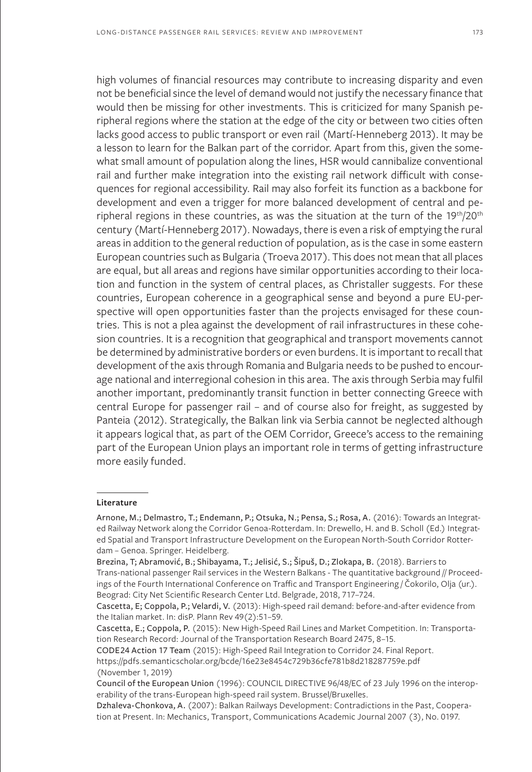high volumes of financial resources may contribute to increasing disparity and even not be beneficial since the level of demand would not justify the necessary finance that would then be missing for other investments. This is criticized for many Spanish peripheral regions where the station at the edge of the city or between two cities often lacks good access to public transport or even rail (Martí-Henneberg 2013). It may be a lesson to learn for the Balkan part of the corridor. Apart from this, given the somewhat small amount of population along the lines, HSR would cannibalize conventional rail and further make integration into the existing rail network difficult with consequences for regional accessibility. Rail may also forfeit its function as a backbone for development and even a trigger for more balanced development of central and peripheral regions in these countries, as was the situation at the turn of the  $19<sup>th</sup>/20<sup>th</sup>$ century (Martí-Henneberg 2017). Nowadays, there is even a risk of emptying the rural areas in addition to the general reduction of population, as is the case in some eastern European countries such as Bulgaria (Troeva 2017). This does not mean that all places are equal, but all areas and regions have similar opportunities according to their location and function in the system of central places, as Christaller suggests. For these countries, European coherence in a geographical sense and beyond a pure EU-perspective will open opportunities faster than the projects envisaged for these countries. This is not a plea against the development of rail infrastructures in these cohesion countries. It is a recognition that geographical and transport movements cannot be determined by administrative borders or even burdens. It is important to recall that development of the axis through Romania and Bulgaria needs to be pushed to encourage national and interregional cohesion in this area. The axis through Serbia may fulfil another important, predominantly transit function in better connecting Greece with central Europe for passenger rail – and of course also for freight, as suggested by Panteia (2012). Strategically, the Balkan link via Serbia cannot be neglected although it appears logical that, as part of the OEM Corridor, Greece's access to the remaining part of the European Union plays an important role in terms of getting infrastructure more easily funded.

#### **Literature**

Arnone, M.; Delmastro, T.; Endemann, P.; Otsuka, N.; Pensa, S.; Rosa, A. (2016): Towards an Integrated Railway Network along the Corridor Genoa-Rotterdam. In: Drewello, H. and B. Scholl (Ed.) Integrated Spatial and Transport Infrastructure Development on the European North-South Corridor Rotterdam – Genoa. Springer. Heidelberg.

Brezina, T; Abramović, B.; Shibayama, T.; Jelisić, S.; Šipuš, D.; Zlokapa, B. (2018). Barriers to Trans-national passenger Rail services in the Western Balkans - The quantitative background // Proceedings of the Fourth International Conference on Traffic and Transport Engineering / Čokorilo, Olja (ur.). Beograd: City Net Scientific Research Center Ltd. Belgrade, 2018, 717–724.

Cascetta, E; Coppola, P.; Velardi, V. (2013): High-speed rail demand: before-and-after evidence from the Italian market. In: disP. Plann Rev 49(2):51–59.

Cascetta, E.; Coppola, P. (2015): New High-Speed Rail Lines and Market Competition. In: Transportation Research Record: Journal of the Transportation Research Board 2475, 8–15.

CODE24 Action 17 Team (2015): High-Speed Rail Integration to Corridor 24. Final Report. https://pdfs.semanticscholar.org/bcde/16e23e8454c729b36cfe781b8d218287759e.pdf (November 1, 2019)

Council of the European Union (1996): COUNCIL DIRECTIVE 96/48/EC of 23 July 1996 on the interoperability of the trans-European high-speed rail system. Brussel/Bruxelles.

Dzhaleva-Chonkova, A. (2007): Balkan Railways Development: Contradictions in the Past, Cooperation at Present. In: Mechanics, Transport, Communications Academic Journal 2007 (3), No. 0197.